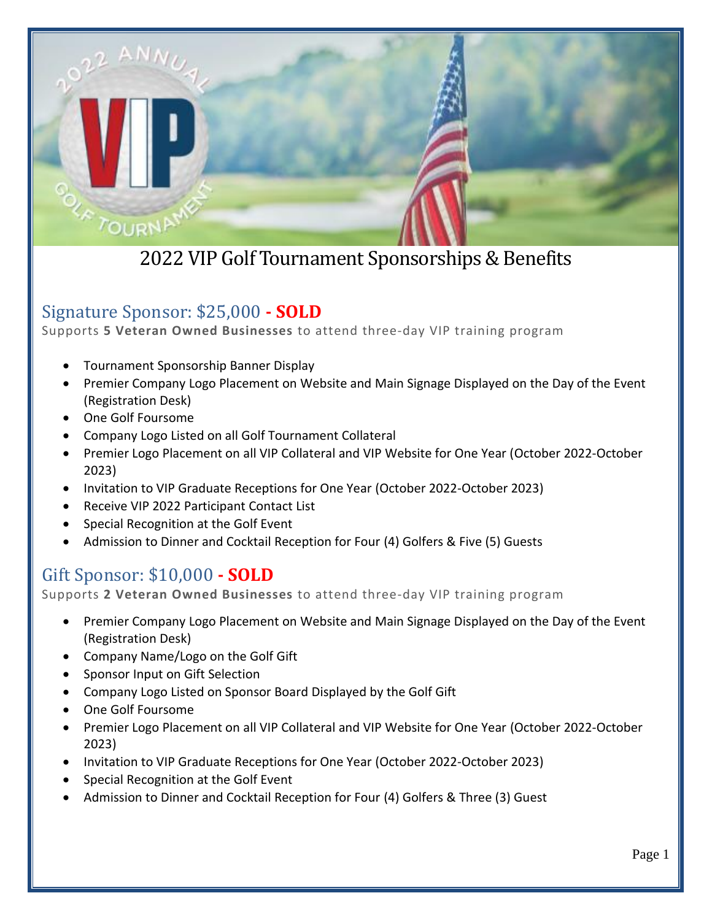

### Signature Sponsor: \$25,000 **- SOLD**

Supports **5 Veteran Owned Businesses** to attend three-day VIP training program

- Tournament Sponsorship Banner Display
- Premier Company Logo Placement on Website and Main Signage Displayed on the Day of the Event (Registration Desk)
- One Golf Foursome
- Company Logo Listed on all Golf Tournament Collateral
- Premier Logo Placement on all VIP Collateral and VIP Website for One Year (October 2022-October 2023)
- Invitation to VIP Graduate Receptions for One Year (October 2022-October 2023)
- Receive VIP 2022 Participant Contact List
- Special Recognition at the Golf Event
- Admission to Dinner and Cocktail Reception for Four (4) Golfers & Five (5) Guests

#### Gift Sponsor: \$10,000 **- SOLD**

Supports **2 Veteran Owned Businesses** to attend three-day VIP training program

- Premier Company Logo Placement on Website and Main Signage Displayed on the Day of the Event (Registration Desk)
- Company Name/Logo on the Golf Gift
- Sponsor Input on Gift Selection
- Company Logo Listed on Sponsor Board Displayed by the Golf Gift
- One Golf Foursome
- Premier Logo Placement on all VIP Collateral and VIP Website for One Year (October 2022-October 2023)
- Invitation to VIP Graduate Receptions for One Year (October 2022-October 2023)
- Special Recognition at the Golf Event
- Admission to Dinner and Cocktail Reception for Four (4) Golfers & Three (3) Guest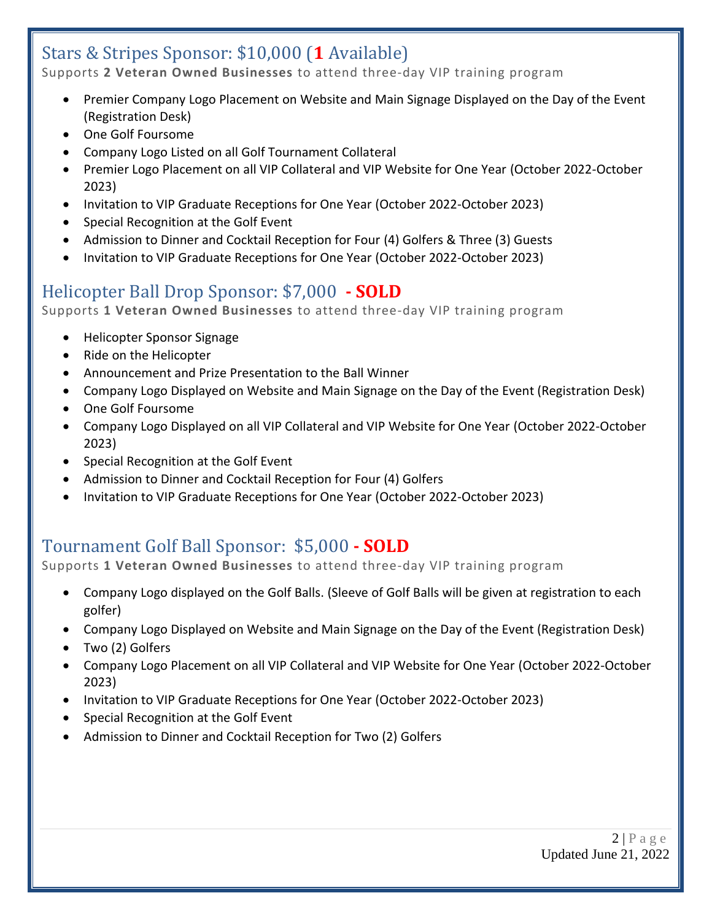# Stars & Stripes Sponsor: \$10,000 (**1** Available)

Supports **2 Veteran Owned Businesses** to attend three-day VIP training program

- Premier Company Logo Placement on Website and Main Signage Displayed on the Day of the Event (Registration Desk)
- One Golf Foursome
- Company Logo Listed on all Golf Tournament Collateral
- Premier Logo Placement on all VIP Collateral and VIP Website for One Year (October 2022-October 2023)
- Invitation to VIP Graduate Receptions for One Year (October 2022-October 2023)
- Special Recognition at the Golf Event
- Admission to Dinner and Cocktail Reception for Four (4) Golfers & Three (3) Guests
- Invitation to VIP Graduate Receptions for One Year (October 2022-October 2023)

## Helicopter Ball Drop Sponsor: \$7,000 **- SOLD**

Supports **1 Veteran Owned Businesses** to attend three-day VIP training program

- Helicopter Sponsor Signage
- Ride on the Helicopter
- Announcement and Prize Presentation to the Ball Winner
- Company Logo Displayed on Website and Main Signage on the Day of the Event (Registration Desk)
- One Golf Foursome
- Company Logo Displayed on all VIP Collateral and VIP Website for One Year (October 2022-October 2023)
- Special Recognition at the Golf Event
- Admission to Dinner and Cocktail Reception for Four (4) Golfers
- Invitation to VIP Graduate Receptions for One Year (October 2022-October 2023)

## Tournament Golf Ball Sponsor: \$5,000 **- SOLD**

Supports **1 Veteran Owned Businesses** to attend three-day VIP training program

- Company Logo displayed on the Golf Balls. (Sleeve of Golf Balls will be given at registration to each golfer)
- Company Logo Displayed on Website and Main Signage on the Day of the Event (Registration Desk)
- Two (2) Golfers
- Company Logo Placement on all VIP Collateral and VIP Website for One Year (October 2022-October 2023)
- Invitation to VIP Graduate Receptions for One Year (October 2022-October 2023)
- Special Recognition at the Golf Event
- Admission to Dinner and Cocktail Reception for Two (2) Golfers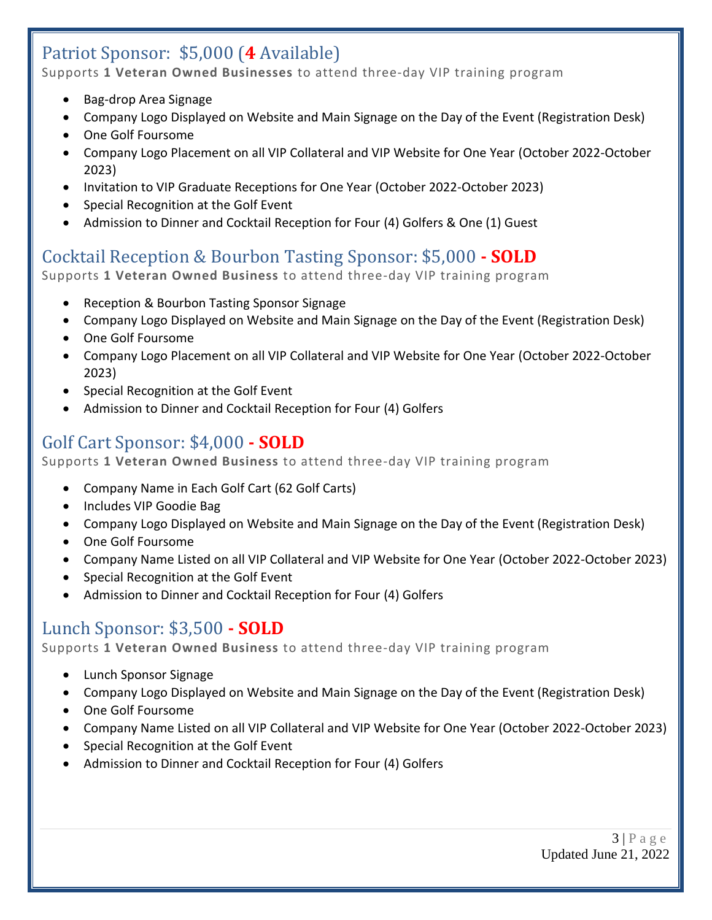# Patriot Sponsor: \$5,000 (**4** Available)

Supports **1 Veteran Owned Businesses** to attend three-day VIP training program

- Bag-drop Area Signage
- Company Logo Displayed on Website and Main Signage on the Day of the Event (Registration Desk)
- One Golf Foursome
- Company Logo Placement on all VIP Collateral and VIP Website for One Year (October 2022-October 2023)
- Invitation to VIP Graduate Receptions for One Year (October 2022-October 2023)
- Special Recognition at the Golf Event
- Admission to Dinner and Cocktail Reception for Four (4) Golfers & One (1) Guest

## Cocktail Reception & Bourbon Tasting Sponsor: \$5,000 **- SOLD**

Supports **1 Veteran Owned Business** to attend three-day VIP training program

- Reception & Bourbon Tasting Sponsor Signage
- Company Logo Displayed on Website and Main Signage on the Day of the Event (Registration Desk)
- One Golf Foursome
- Company Logo Placement on all VIP Collateral and VIP Website for One Year (October 2022-October 2023)
- Special Recognition at the Golf Event
- Admission to Dinner and Cocktail Reception for Four (4) Golfers

## Golf Cart Sponsor: \$4,000 **- SOLD**

Supports **1 Veteran Owned Business** to attend three-day VIP training program

- Company Name in Each Golf Cart (62 Golf Carts)
- Includes VIP Goodie Bag
- Company Logo Displayed on Website and Main Signage on the Day of the Event (Registration Desk)
- One Golf Foursome
- Company Name Listed on all VIP Collateral and VIP Website for One Year (October 2022-October 2023)
- Special Recognition at the Golf Event
- Admission to Dinner and Cocktail Reception for Four (4) Golfers

## Lunch Sponsor: \$3,500 **- SOLD**

Supports **1 Veteran Owned Business** to attend three-day VIP training program

- Lunch Sponsor Signage
- Company Logo Displayed on Website and Main Signage on the Day of the Event (Registration Desk)
- One Golf Foursome
- Company Name Listed on all VIP Collateral and VIP Website for One Year (October 2022-October 2023)
- Special Recognition at the Golf Event
- Admission to Dinner and Cocktail Reception for Four (4) Golfers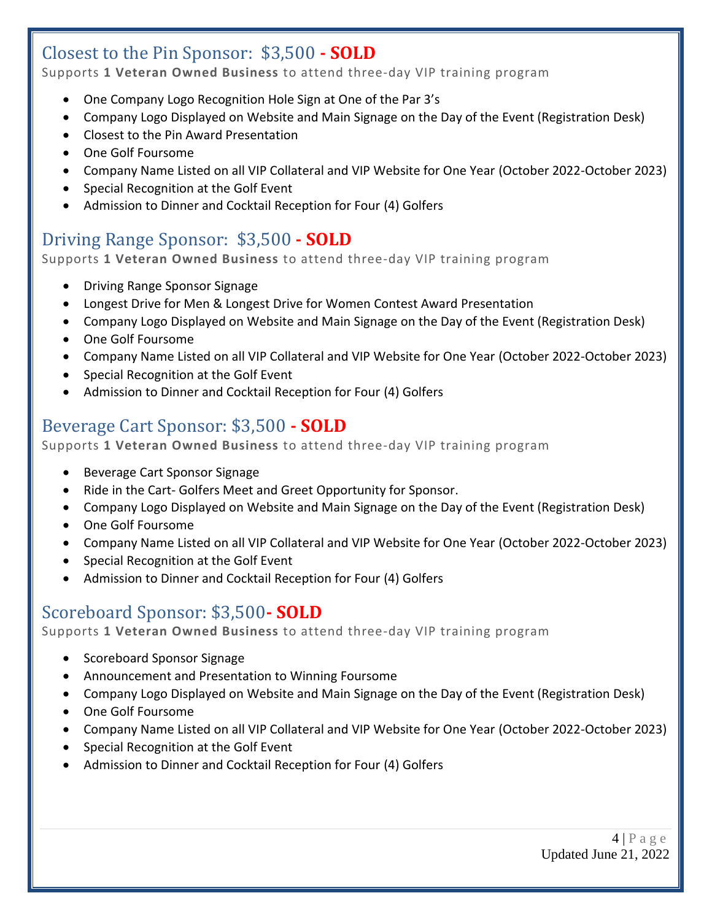## Closest to the Pin Sponsor: \$3,500 **- SOLD**

Supports **1 Veteran Owned Business** to attend three-day VIP training program

- One Company Logo Recognition Hole Sign at One of the Par 3's
- Company Logo Displayed on Website and Main Signage on the Day of the Event (Registration Desk)
- Closest to the Pin Award Presentation
- One Golf Foursome
- Company Name Listed on all VIP Collateral and VIP Website for One Year (October 2022-October 2023)
- Special Recognition at the Golf Event
- Admission to Dinner and Cocktail Reception for Four (4) Golfers

## Driving Range Sponsor: \$3,500 **- SOLD**

Supports **1 Veteran Owned Business** to attend three-day VIP training program

- Driving Range Sponsor Signage
- Longest Drive for Men & Longest Drive for Women Contest Award Presentation
- Company Logo Displayed on Website and Main Signage on the Day of the Event (Registration Desk)
- One Golf Foursome
- Company Name Listed on all VIP Collateral and VIP Website for One Year (October 2022-October 2023)
- Special Recognition at the Golf Event
- Admission to Dinner and Cocktail Reception for Four (4) Golfers

### Beverage Cart Sponsor: \$3,500 **- SOLD**

Supports **1 Veteran Owned Business** to attend three-day VIP training program

- Beverage Cart Sponsor Signage
- Ride in the Cart- Golfers Meet and Greet Opportunity for Sponsor.
- Company Logo Displayed on Website and Main Signage on the Day of the Event (Registration Desk)
- One Golf Foursome
- Company Name Listed on all VIP Collateral and VIP Website for One Year (October 2022-October 2023)
- Special Recognition at the Golf Event
- Admission to Dinner and Cocktail Reception for Four (4) Golfers

#### Scoreboard Sponsor: \$3,500**- SOLD**

Supports **1 Veteran Owned Business** to attend three-day VIP training program

- Scoreboard Sponsor Signage
- Announcement and Presentation to Winning Foursome
- Company Logo Displayed on Website and Main Signage on the Day of the Event (Registration Desk)
- One Golf Foursome
- Company Name Listed on all VIP Collateral and VIP Website for One Year (October 2022-October 2023)
- Special Recognition at the Golf Event
- Admission to Dinner and Cocktail Reception for Four (4) Golfers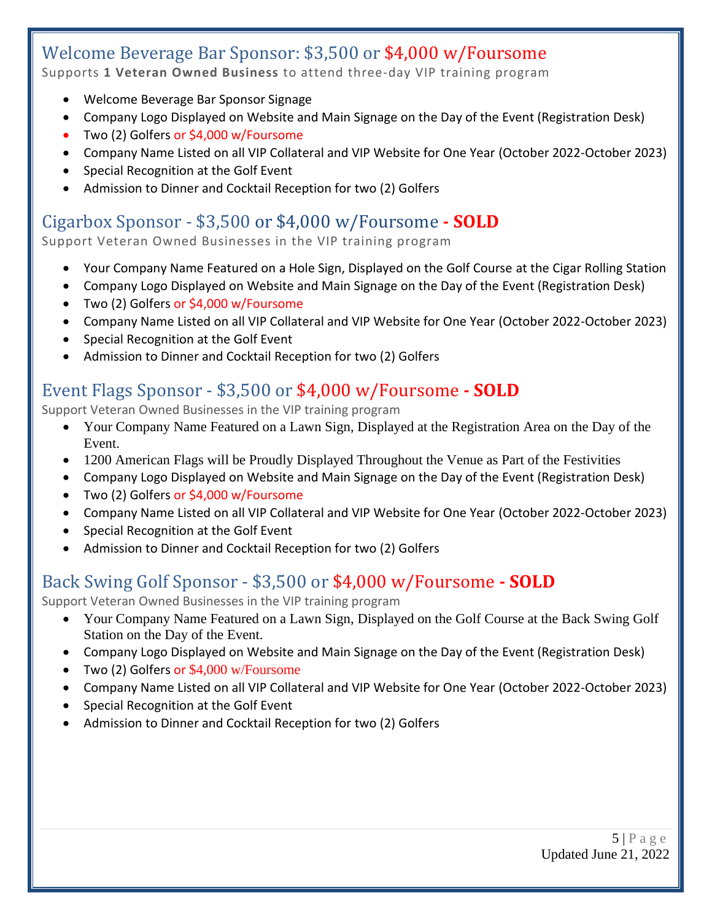#### Welcome Beverage Bar Sponsor: \$3,500 or \$4,000 w/Foursome Supports **1 Veteran Owned Business** to attend three-day VIP training program

- Welcome Beverage Bar Sponsor Signage
- Company Logo Displayed on Website and Main Signage on the Day of the Event (Registration Desk)
- Two (2) Golfers or \$4,000 w/Foursome
- Company Name Listed on all VIP Collateral and VIP Website for One Year (October 2022-October 2023)
- Special Recognition at the Golf Event
- Admission to Dinner and Cocktail Reception for two (2) Golfers

### Cigarbox Sponsor - \$3,500 or \$4,000 w/Foursome **- SOLD**

Support Veteran Owned Businesses in the VIP training program

- Your Company Name Featured on a Hole Sign, Displayed on the Golf Course at the Cigar Rolling Station
- Company Logo Displayed on Website and Main Signage on the Day of the Event (Registration Desk)
- Two (2) Golfers or \$4,000 w/Foursome
- Company Name Listed on all VIP Collateral and VIP Website for One Year (October 2022-October 2023)
- Special Recognition at the Golf Event
- Admission to Dinner and Cocktail Reception for two (2) Golfers

## Event Flags Sponsor - \$3,500 or \$4,000 w/Foursome **- SOLD**

Support Veteran Owned Businesses in the VIP training program

- Your Company Name Featured on a Lawn Sign, Displayed at the Registration Area on the Day of the Event.
- 1200 American Flags will be Proudly Displayed Throughout the Venue as Part of the Festivities
- Company Logo Displayed on Website and Main Signage on the Day of the Event (Registration Desk)
- Two (2) Golfers or \$4,000 w/Foursome
- Company Name Listed on all VIP Collateral and VIP Website for One Year (October 2022-October 2023)
- Special Recognition at the Golf Event
- Admission to Dinner and Cocktail Reception for two (2) Golfers

### Back Swing Golf Sponsor - \$3,500 or \$4,000 w/Foursome **- SOLD**

Support Veteran Owned Businesses in the VIP training program

- Your Company Name Featured on a Lawn Sign, Displayed on the Golf Course at the Back Swing Golf Station on the Day of the Event.
- Company Logo Displayed on Website and Main Signage on the Day of the Event (Registration Desk)
- Two (2) Golfers or \$4,000 w/Foursome
- Company Name Listed on all VIP Collateral and VIP Website for One Year (October 2022-October 2023)
- Special Recognition at the Golf Event
- Admission to Dinner and Cocktail Reception for two (2) Golfers